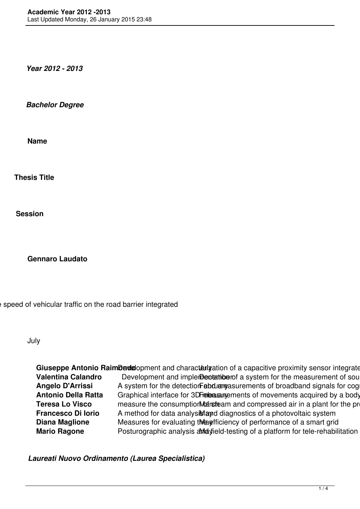*Year 2012 - 2013*

*Bachelor Degree*

**Name**

**Thesis Title**

**Session**

**Gennaro Laudato**

speed of vehicular traffic on the road barrier integrated

July

**Giuseppe Antonio RaimDedel**opment and characterigation of a capacitive proximity sensor integrate<br>**Valentina Calandro** Development and implement antes a system for the measurement of sou Development and implementation of a system for the measurement of sou Angelo D'Arrissi A system for the detection Febduargasurements of broadband signals for cog **Antonio Della Ratta** Graphical interface for 3D Freed as a sensor network acquired by a body **Teresa Lo Visco** measure the consumption **Marsteam** and compressed air in a plant for the production of the polystyrene Marchester **Francesco Di Iorio** A method for data analysing and diagnostics of a photovoltaic system **Diana Maglione** Measures for evaluating tweefficiency of performance of a smart grid **Mario Ragone** Posturographic analysis analysis analysield-testing of a platform for tele-rehabilitation

*Laureati Nuovo Ordinamento (Laurea Specialistica)*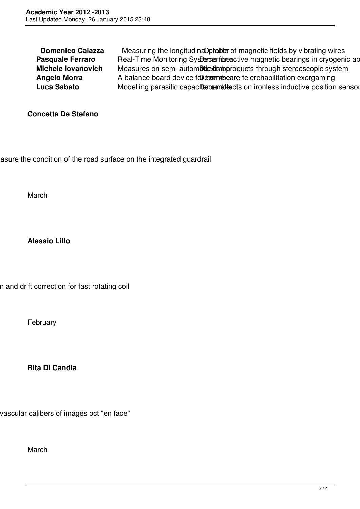**Domenico Caiazza** Measuring the longitudinaDptoble of magnetic fields by vibrating wires **Pasquale Ferraro** Real-Time Monitoring Systems for active magnetic bearings in cryogenic ap **Michele Iovanovich** Measures on semi-automatic estimation through stereoscopic system **Angelo Morra** A balance board device for the manufacture telerehabilitation exergaming Luca Sabato Modelling parasitic capacite entities on ironless inductive position sensor

**Concetta De Stefano**

asure the condition of the road surface on the integrated guardrail

March

**Alessio Lillo**

n and drift correction for fast rotating coil

February

**Rita Di Candia**

vascular calibers of images oct "en face"

March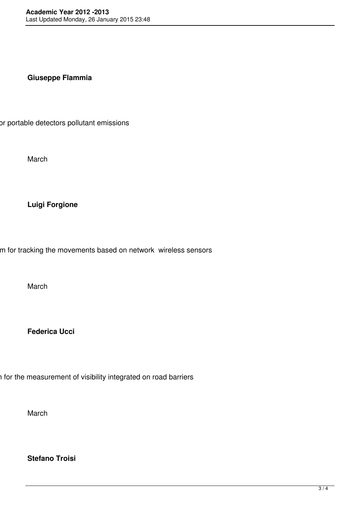## **Giuseppe Flammia**

or portable detectors pollutant emissions

March

## **Luigi Forgione**

m for tracking the movements based on network wireless sensors

March

**Federica Ucci**

i for the measurement of visibility integrated on road barriers

March

**Stefano Troisi**